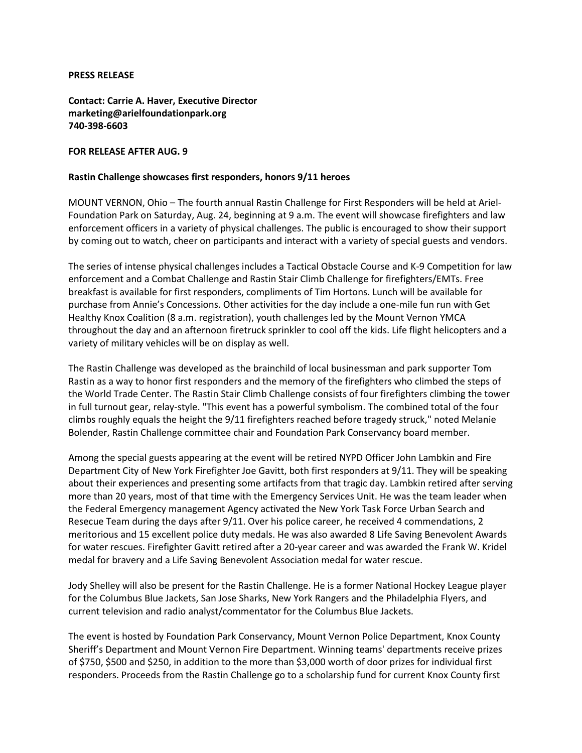## **PRESS RELEASE**

**Contact: Carrie A. Haver, Executive Director marketing@arielfoundationpark.org 740-398-6603**

## **FOR RELEASE AFTER AUG. 9**

## **Rastin Challenge showcases first responders, honors 9/11 heroes**

MOUNT VERNON, Ohio – The fourth annual Rastin Challenge for First Responders will be held at Ariel-Foundation Park on Saturday, Aug. 24, beginning at 9 a.m. The event will showcase firefighters and law enforcement officers in a variety of physical challenges. The public is encouraged to show their support by coming out to watch, cheer on participants and interact with a variety of special guests and vendors.

The series of intense physical challenges includes a Tactical Obstacle Course and K-9 Competition for law enforcement and a Combat Challenge and Rastin Stair Climb Challenge for firefighters/EMTs. Free breakfast is available for first responders, compliments of Tim Hortons. Lunch will be available for purchase from Annie's Concessions. Other activities for the day include a one-mile fun run with Get Healthy Knox Coalition (8 a.m. registration), youth challenges led by the Mount Vernon YMCA throughout the day and an afternoon firetruck sprinkler to cool off the kids. Life flight helicopters and a variety of military vehicles will be on display as well.

The Rastin Challenge was developed as the brainchild of local businessman and park supporter Tom Rastin as a way to honor first responders and the memory of the firefighters who climbed the steps of the World Trade Center. The Rastin Stair Climb Challenge consists of four firefighters climbing the tower in full turnout gear, relay-style. "This event has a powerful symbolism. The combined total of the four climbs roughly equals the height the 9/11 firefighters reached before tragedy struck," noted Melanie Bolender, Rastin Challenge committee chair and Foundation Park Conservancy board member.

Among the special guests appearing at the event will be retired NYPD Officer John Lambkin and Fire Department City of New York Firefighter Joe Gavitt, both first responders at 9/11. They will be speaking about their experiences and presenting some artifacts from that tragic day. Lambkin retired after serving more than 20 years, most of that time with the Emergency Services Unit. He was the team leader when the Federal Emergency management Agency activated the New York Task Force Urban Search and Resecue Team during the days after 9/11. Over his police career, he received 4 commendations, 2 meritorious and 15 excellent police duty medals. He was also awarded 8 Life Saving Benevolent Awards for water rescues. Firefighter Gavitt retired after a 20-year career and was awarded the Frank W. Kridel medal for bravery and a Life Saving Benevolent Association medal for water rescue.

Jody Shelley will also be present for the Rastin Challenge. He is a former National Hockey League player for the Columbus Blue Jackets, San Jose Sharks, New York Rangers and the Philadelphia Flyers, and current television and radio analyst/commentator for the Columbus Blue Jackets.

The event is hosted by Foundation Park Conservancy, Mount Vernon Police Department, Knox County Sheriff's Department and Mount Vernon Fire Department. Winning teams' departments receive prizes of \$750, \$500 and \$250, in addition to the more than \$3,000 worth of door prizes for individual first responders. Proceeds from the Rastin Challenge go to a scholarship fund for current Knox County first